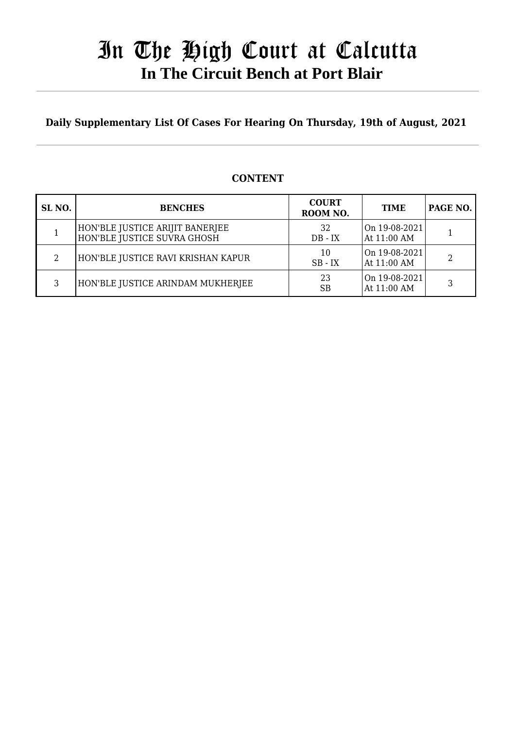## In The High Court at Calcutta  **In The Circuit Bench at Port Blair**

**Daily Supplementary List Of Cases For Hearing On Thursday, 19th of August, 2021**

#### **SL NO. BENCHES COURT ROOM NO. TIME PAGE NO.** 1 HON'BLE JUSTICE ARIJIT BANERJEE HON'BLE JUSTICE SUVRA GHOSH 32 DB - IX On 19-08-2021  $\left[\begin{array}{cc} \text{OH} & 19\text{-}00\text{-}2021 \\ \text{At} & 11:00 \text{ AM} \end{array}\right]$  1 2 HON'BLE JUSTICE RAVI KRISHAN KAPUR  $\begin{bmatrix} 10 \\ 20 \end{bmatrix}$ SB - IX On 19-08-2021  $\left[\begin{array}{c|c}\n\text{OH} & 19\text{-}00\text{-}2021 \\
\text{At} & 11:00 \text{ AM}\n\end{array}\right]$  2 3 HON'BLE JUSTICE ARINDAM MUKHERJEE  $\begin{array}{|c|c|c|c|c|}\n\hline\n3 & 23 & \text{R} \end{array}$ SB On 19-08-2021  $\left[\begin{array}{c|c}\n\text{OH} & 19\text{-}00\text{-}2021 \\
\text{At} & 11:00 \text{ AM}\n\end{array}\right]$  3

### **CONTENT**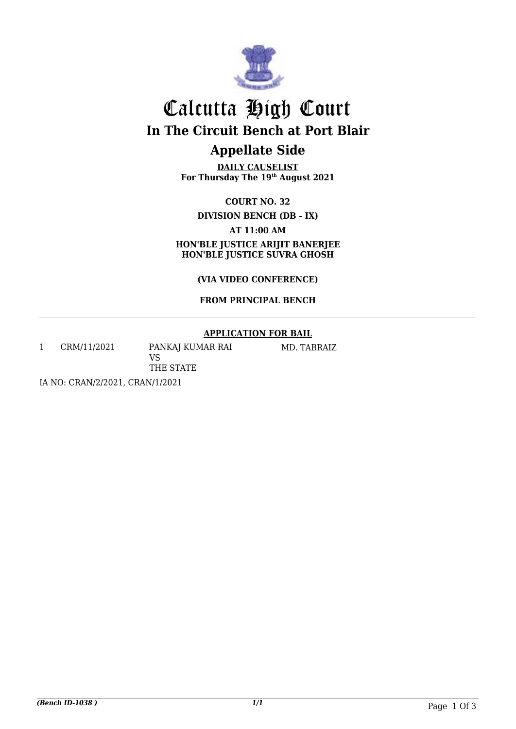

# Calcutta High Court **In The Circuit Bench at Port Blair**

## **Appellate Side**

**DAILY CAUSELIST For Thursday The 19th August 2021**

**COURT NO. 32**

**DIVISION BENCH (DB - IX)** 

**AT 11:00 AM HON'BLE JUSTICE ARIJIT BANERJEE** 

**HON'BLE JUSTICE SUVRA GHOSH**

**(VIA VIDEO CONFERENCE)** 

**FROM PRINCIPAL BENCH**

### **APPLICATION FOR BAIL**

1 CRM/11/2021 PANKAJ KUMAR RAI

VS THE STATE MD. TABRAIZ

IA NO: CRAN/2/2021, CRAN/1/2021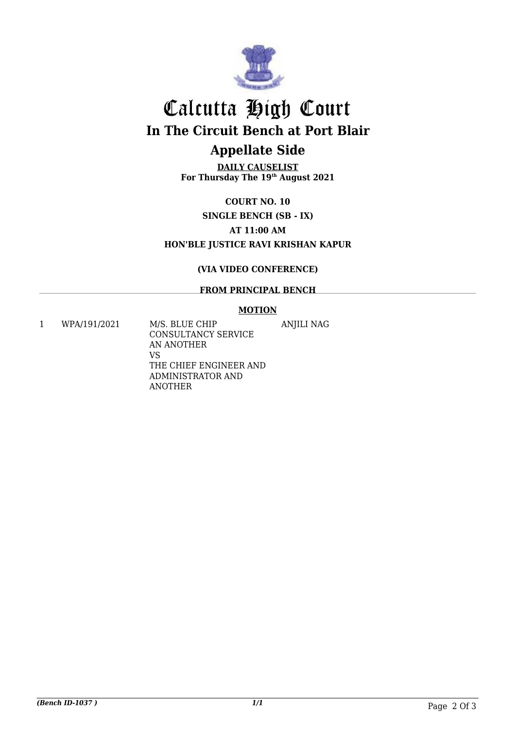

## Calcutta High Court **In The Circuit Bench at Port Blair**

## **Appellate Side**

**DAILY CAUSELIST For Thursday The 19th August 2021**

### **COURT NO. 10 SINGLE BENCH (SB - IX) AT 11:00 AM HON'BLE JUSTICE RAVI KRISHAN KAPUR**

### **(VIA VIDEO CONFERENCE)**

#### **FROM PRINCIPAL BENCH**

#### **MOTION**

ANJILI NAG

1 WPA/191/2021 M/S. BLUE CHIP

CONSULTANCY SERVICE AN ANOTHER VS THE CHIEF ENGINEER AND ADMINISTRATOR AND ANOTHER

*(Bench ID-1037 ) 1/1* Page 2 Of 3